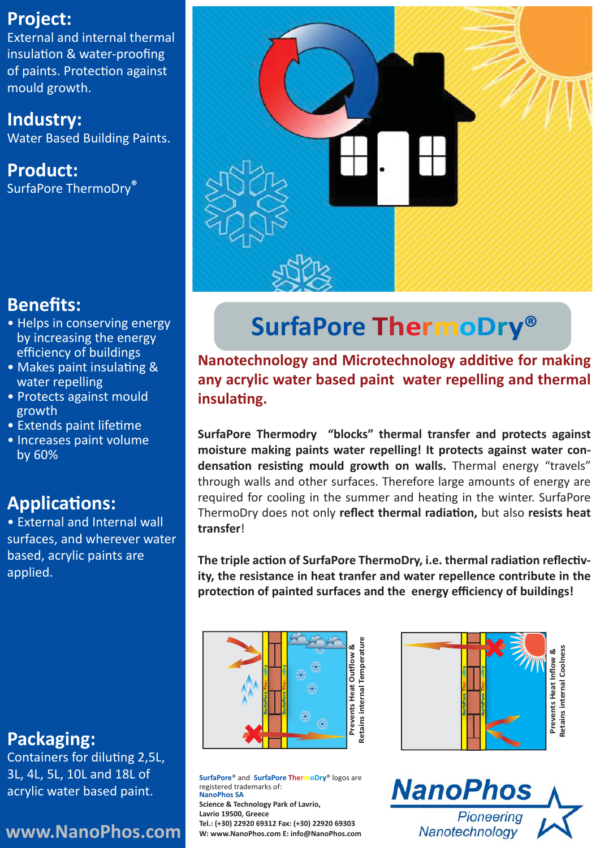### **Project:**

External and internal thermal insulation & water-proofing of paints. Protection against mould growth.

**Industry:** Water Based Building Paints.

**Product:** SurfaPore ThermoDry**®**

### **Benefits:**

- Helps in conserving energy by increasing the energy efficiency of buildings
- Makes paint insulating & water repelling
- Protects against mould growth
- Extends paint lifetime
- Increases paint volume by 60%

## **Applications:**

• External and Internal wall surfaces, and wherever water based, acrylic paints are applied.

### **Packaging:**

Containers for diluting 2,5L, 3L, 4L, 5L, 10L and 18L of acrylic water based paint.

# **www.NanoPhos.com**



# **SurfaPore ThermoDry®**

**Nanotechnology and Microtechnology additive for making any acrylic water based paint water repelling and thermal insulating.**

**SurfaPore Thermodry "blocks" thermal transfer and protects against moisture making paints water repelling! It protects against water condensation resisting mould growth on walls.** Thermal energy "travels" through walls and other surfaces. Therefore large amounts of energy are required for cooling in the summer and heating in the winter. SurfaPore ThermoDry does not only **reflect thermal radiation,** but also **resists heat transfer**!

**The triple action of SurfaPore ThermoDry, i.e. thermal radiation reflectivity, the resistance in heat tranfer and water repellence contribute in the protection of painted surfaces and the energy efficiency of buildings!**



**SurfaPore**® and **SurfaPore ThermoDry**® logos are registered trademarks of: **NanoPhos SA Science & Technology Park of Lavrio, Lavrio 19500, Greece Tel.: (+30) 22920 69312 Fax: (+30) 22920 69303 W: www.NanoPhos.com E: info@NanoPhos.com**